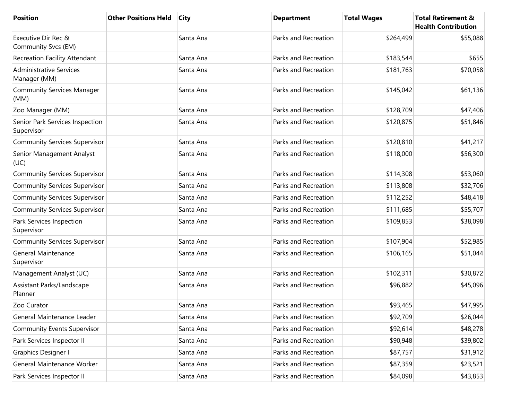| <b>Position</b>                                | <b>Other Positions Held</b> | <b>City</b> | <b>Department</b>    | <b>Total Wages</b> | <b>Total Retirement &amp;</b><br><b>Health Contribution</b> |
|------------------------------------------------|-----------------------------|-------------|----------------------|--------------------|-------------------------------------------------------------|
| Executive Dir Rec &<br>Community Svcs (EM)     |                             | Santa Ana   | Parks and Recreation | \$264,499          | \$55,088                                                    |
| Recreation Facility Attendant                  |                             | Santa Ana   | Parks and Recreation | \$183,544          | \$655                                                       |
| <b>Administrative Services</b><br>Manager (MM) |                             | Santa Ana   | Parks and Recreation | \$181,763          | \$70,058                                                    |
| <b>Community Services Manager</b><br>(MM)      |                             | Santa Ana   | Parks and Recreation | \$145,042          | \$61,136                                                    |
| Zoo Manager (MM)                               |                             | Santa Ana   | Parks and Recreation | \$128,709          | \$47,406                                                    |
| Senior Park Services Inspection<br>Supervisor  |                             | Santa Ana   | Parks and Recreation | \$120,875          | \$51,846                                                    |
| <b>Community Services Supervisor</b>           |                             | Santa Ana   | Parks and Recreation | \$120,810          | \$41,217                                                    |
| Senior Management Analyst<br>(UC)              |                             | Santa Ana   | Parks and Recreation | \$118,000          | \$56,300                                                    |
| <b>Community Services Supervisor</b>           |                             | Santa Ana   | Parks and Recreation | \$114,308          | \$53,060                                                    |
| <b>Community Services Supervisor</b>           |                             | Santa Ana   | Parks and Recreation | \$113,808          | \$32,706                                                    |
| <b>Community Services Supervisor</b>           |                             | Santa Ana   | Parks and Recreation | \$112,252          | \$48,418                                                    |
| <b>Community Services Supervisor</b>           |                             | Santa Ana   | Parks and Recreation | \$111,685          | \$55,707                                                    |
| Park Services Inspection<br>Supervisor         |                             | Santa Ana   | Parks and Recreation | \$109,853          | \$38,098                                                    |
| <b>Community Services Supervisor</b>           |                             | Santa Ana   | Parks and Recreation | \$107,904          | \$52,985                                                    |
| <b>General Maintenance</b><br>Supervisor       |                             | Santa Ana   | Parks and Recreation | \$106,165          | \$51,044                                                    |
| Management Analyst (UC)                        |                             | Santa Ana   | Parks and Recreation | \$102,311          | \$30,872                                                    |
| Assistant Parks/Landscape<br>Planner           |                             | Santa Ana   | Parks and Recreation | \$96,882           | \$45,096                                                    |
| Zoo Curator                                    |                             | Santa Ana   | Parks and Recreation | \$93,465           | \$47,995                                                    |
| General Maintenance Leader                     |                             | Santa Ana   | Parks and Recreation | \$92,709           | \$26,044                                                    |
| <b>Community Events Supervisor</b>             |                             | Santa Ana   | Parks and Recreation | \$92,614           | \$48,278                                                    |
| Park Services Inspector II                     |                             | Santa Ana   | Parks and Recreation | \$90,948           | \$39,802                                                    |
| Graphics Designer I                            |                             | Santa Ana   | Parks and Recreation | \$87,757           | \$31,912                                                    |
| General Maintenance Worker                     |                             | Santa Ana   | Parks and Recreation | \$87,359           | \$23,521                                                    |
| Park Services Inspector II                     |                             | Santa Ana   | Parks and Recreation | \$84,098           | \$43,853                                                    |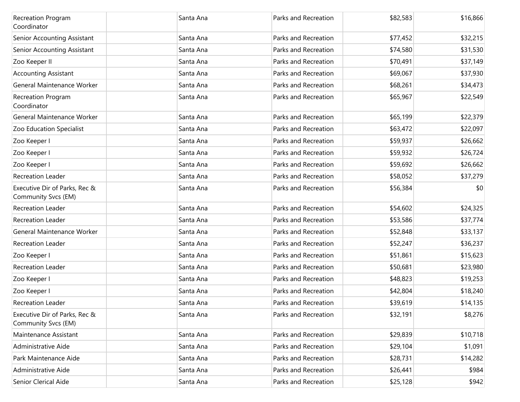| <b>Recreation Program</b><br>Coordinator             | Santa Ana | Parks and Recreation | \$82,583 | \$16,866 |
|------------------------------------------------------|-----------|----------------------|----------|----------|
| Senior Accounting Assistant                          | Santa Ana | Parks and Recreation | \$77,452 | \$32,215 |
| Senior Accounting Assistant                          | Santa Ana | Parks and Recreation | \$74,580 | \$31,530 |
| Zoo Keeper II                                        | Santa Ana | Parks and Recreation | \$70,491 | \$37,149 |
| <b>Accounting Assistant</b>                          | Santa Ana | Parks and Recreation | \$69,067 | \$37,930 |
| General Maintenance Worker                           | Santa Ana | Parks and Recreation | \$68,261 | \$34,473 |
| Recreation Program<br>Coordinator                    | Santa Ana | Parks and Recreation | \$65,967 | \$22,549 |
| General Maintenance Worker                           | Santa Ana | Parks and Recreation | \$65,199 | \$22,379 |
| Zoo Education Specialist                             | Santa Ana | Parks and Recreation | \$63,472 | \$22,097 |
| Zoo Keeper I                                         | Santa Ana | Parks and Recreation | \$59,937 | \$26,662 |
| Zoo Keeper I                                         | Santa Ana | Parks and Recreation | \$59,932 | \$26,724 |
| Zoo Keeper I                                         | Santa Ana | Parks and Recreation | \$59,692 | \$26,662 |
| <b>Recreation Leader</b>                             | Santa Ana | Parks and Recreation | \$58,052 | \$37,279 |
| Executive Dir of Parks, Rec &<br>Community Svcs (EM) | Santa Ana | Parks and Recreation | \$56,384 | \$0      |
| <b>Recreation Leader</b>                             | Santa Ana | Parks and Recreation | \$54,602 | \$24,325 |
| <b>Recreation Leader</b>                             | Santa Ana | Parks and Recreation | \$53,586 | \$37,774 |
| General Maintenance Worker                           | Santa Ana | Parks and Recreation | \$52,848 | \$33,137 |
| <b>Recreation Leader</b>                             | Santa Ana | Parks and Recreation | \$52,247 | \$36,237 |
| Zoo Keeper I                                         | Santa Ana | Parks and Recreation | \$51,861 | \$15,623 |
| <b>Recreation Leader</b>                             | Santa Ana | Parks and Recreation | \$50,681 | \$23,980 |
| Zoo Keeper I                                         | Santa Ana | Parks and Recreation | \$48,823 | \$19,253 |
| Zoo Keeper I                                         | Santa Ana | Parks and Recreation | \$42,804 | \$18,240 |
| <b>Recreation Leader</b>                             | Santa Ana | Parks and Recreation | \$39,619 | \$14,135 |
| Executive Dir of Parks, Rec &<br>Community Svcs (EM) | Santa Ana | Parks and Recreation | \$32,191 | \$8,276  |
| Maintenance Assistant                                | Santa Ana | Parks and Recreation | \$29,839 | \$10,718 |
| Administrative Aide                                  | Santa Ana | Parks and Recreation | \$29,104 | \$1,091  |
| Park Maintenance Aide                                | Santa Ana | Parks and Recreation | \$28,731 | \$14,282 |
| Administrative Aide                                  | Santa Ana | Parks and Recreation | \$26,441 | \$984    |
| Senior Clerical Aide                                 | Santa Ana | Parks and Recreation | \$25,128 | \$942    |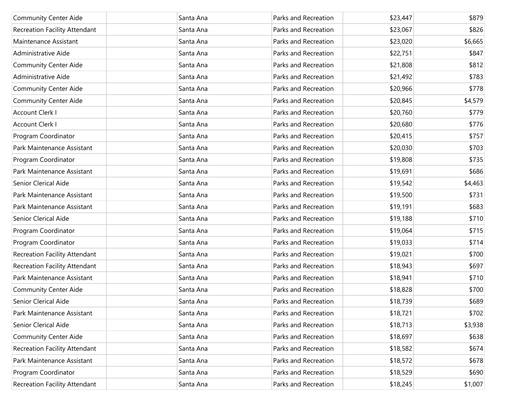| <b>Community Center Aide</b>  | Santa Ana | Parks and Recreation | \$23,447 | \$879   |
|-------------------------------|-----------|----------------------|----------|---------|
| Recreation Facility Attendant | Santa Ana | Parks and Recreation | \$23,067 | \$826   |
| Maintenance Assistant         | Santa Ana | Parks and Recreation | \$23,020 | \$6,665 |
| Administrative Aide           | Santa Ana | Parks and Recreation | \$22,751 | \$847   |
| Community Center Aide         | Santa Ana | Parks and Recreation | \$21,808 | \$812   |
| Administrative Aide           | Santa Ana | Parks and Recreation | \$21,492 | \$783   |
| <b>Community Center Aide</b>  | Santa Ana | Parks and Recreation | \$20,966 | \$778   |
| <b>Community Center Aide</b>  | Santa Ana | Parks and Recreation | \$20,845 | \$4,579 |
| Account Clerk I               | Santa Ana | Parks and Recreation | \$20,760 | \$779   |
| Account Clerk I               | Santa Ana | Parks and Recreation | \$20,680 | \$776   |
| Program Coordinator           | Santa Ana | Parks and Recreation | \$20,415 | \$757   |
| Park Maintenance Assistant    | Santa Ana | Parks and Recreation | \$20,030 | \$703   |
| Program Coordinator           | Santa Ana | Parks and Recreation | \$19,808 | \$735   |
| Park Maintenance Assistant    | Santa Ana | Parks and Recreation | \$19,691 | \$686   |
| Senior Clerical Aide          | Santa Ana | Parks and Recreation | \$19,542 | \$4,463 |
| Park Maintenance Assistant    | Santa Ana | Parks and Recreation | \$19,500 | \$731   |
| Park Maintenance Assistant    | Santa Ana | Parks and Recreation | \$19,191 | \$683   |
| Senior Clerical Aide          | Santa Ana | Parks and Recreation | \$19,188 | \$710   |
| Program Coordinator           | Santa Ana | Parks and Recreation | \$19,064 | \$715   |
| Program Coordinator           | Santa Ana | Parks and Recreation | \$19,033 | \$714   |
| Recreation Facility Attendant | Santa Ana | Parks and Recreation | \$19,021 | \$700   |
| Recreation Facility Attendant | Santa Ana | Parks and Recreation | \$18,943 | \$697   |
| Park Maintenance Assistant    | Santa Ana | Parks and Recreation | \$18,941 | \$710   |
| <b>Community Center Aide</b>  | Santa Ana | Parks and Recreation | \$18,828 | \$700   |
| Senior Clerical Aide          | Santa Ana | Parks and Recreation | \$18,739 | \$689   |
| Park Maintenance Assistant    | Santa Ana | Parks and Recreation | \$18,721 | \$702   |
| Senior Clerical Aide          | Santa Ana | Parks and Recreation | \$18,713 | \$3,938 |
| <b>Community Center Aide</b>  | Santa Ana | Parks and Recreation | \$18,697 | \$638   |
| Recreation Facility Attendant | Santa Ana | Parks and Recreation | \$18,582 | \$674   |
| Park Maintenance Assistant    | Santa Ana | Parks and Recreation | \$18,572 | \$678   |
| Program Coordinator           | Santa Ana | Parks and Recreation | \$18,529 | \$690   |
| Recreation Facility Attendant | Santa Ana | Parks and Recreation | \$18,245 | \$1,007 |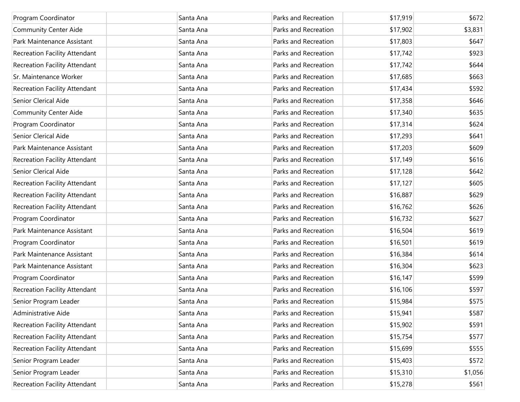| Program Coordinator                  | Santa Ana | Parks and Recreation | \$17,919 | \$672   |
|--------------------------------------|-----------|----------------------|----------|---------|
| Community Center Aide                | Santa Ana | Parks and Recreation | \$17,902 | \$3,831 |
| Park Maintenance Assistant           | Santa Ana | Parks and Recreation | \$17,803 | \$647   |
| Recreation Facility Attendant        | Santa Ana | Parks and Recreation | \$17,742 | \$923   |
| Recreation Facility Attendant        | Santa Ana | Parks and Recreation | \$17,742 | \$644   |
| Sr. Maintenance Worker               | Santa Ana | Parks and Recreation | \$17,685 | \$663   |
| <b>Recreation Facility Attendant</b> | Santa Ana | Parks and Recreation | \$17,434 | \$592   |
| Senior Clerical Aide                 | Santa Ana | Parks and Recreation | \$17,358 | \$646   |
| Community Center Aide                | Santa Ana | Parks and Recreation | \$17,340 | \$635   |
| Program Coordinator                  | Santa Ana | Parks and Recreation | \$17,314 | \$624   |
| Senior Clerical Aide                 | Santa Ana | Parks and Recreation | \$17,293 | \$641   |
| Park Maintenance Assistant           | Santa Ana | Parks and Recreation | \$17,203 | \$609   |
| <b>Recreation Facility Attendant</b> | Santa Ana | Parks and Recreation | \$17,149 | \$616   |
| Senior Clerical Aide                 | Santa Ana | Parks and Recreation | \$17,128 | \$642   |
| <b>Recreation Facility Attendant</b> | Santa Ana | Parks and Recreation | \$17,127 | \$605   |
| Recreation Facility Attendant        | Santa Ana | Parks and Recreation | \$16,887 | \$629   |
| Recreation Facility Attendant        | Santa Ana | Parks and Recreation | \$16,762 | \$626   |
| Program Coordinator                  | Santa Ana | Parks and Recreation | \$16,732 | \$627   |
| Park Maintenance Assistant           | Santa Ana | Parks and Recreation | \$16,504 | \$619   |
| Program Coordinator                  | Santa Ana | Parks and Recreation | \$16,501 | \$619   |
| Park Maintenance Assistant           | Santa Ana | Parks and Recreation | \$16,384 | \$614   |
| Park Maintenance Assistant           | Santa Ana | Parks and Recreation | \$16,304 | \$623   |
| Program Coordinator                  | Santa Ana | Parks and Recreation | \$16,147 | \$599   |
| <b>Recreation Facility Attendant</b> | Santa Ana | Parks and Recreation | \$16,106 | \$597   |
| Senior Program Leader                | Santa Ana | Parks and Recreation | \$15,984 | \$575   |
| Administrative Aide                  | Santa Ana | Parks and Recreation | \$15,941 | \$587   |
| <b>Recreation Facility Attendant</b> | Santa Ana | Parks and Recreation | \$15,902 | \$591   |
| <b>Recreation Facility Attendant</b> | Santa Ana | Parks and Recreation | \$15,754 | \$577   |
| Recreation Facility Attendant        | Santa Ana | Parks and Recreation | \$15,699 | \$555   |
| Senior Program Leader                | Santa Ana | Parks and Recreation | \$15,403 | \$572   |
| Senior Program Leader                | Santa Ana | Parks and Recreation | \$15,310 | \$1,056 |
| <b>Recreation Facility Attendant</b> | Santa Ana | Parks and Recreation | \$15,278 | \$561   |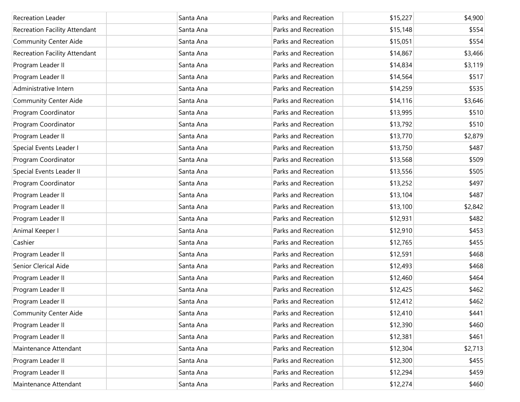| Recreation Leader             | Santa Ana | Parks and Recreation | \$15,227 | \$4,900 |
|-------------------------------|-----------|----------------------|----------|---------|
| Recreation Facility Attendant | Santa Ana | Parks and Recreation | \$15,148 | \$554   |
| <b>Community Center Aide</b>  | Santa Ana | Parks and Recreation | \$15,051 | \$554   |
| Recreation Facility Attendant | Santa Ana | Parks and Recreation | \$14,867 | \$3,466 |
| Program Leader II             | Santa Ana | Parks and Recreation | \$14,834 | \$3,119 |
| Program Leader II             | Santa Ana | Parks and Recreation | \$14,564 | \$517   |
| Administrative Intern         | Santa Ana | Parks and Recreation | \$14,259 | \$535   |
| <b>Community Center Aide</b>  | Santa Ana | Parks and Recreation | \$14,116 | \$3,646 |
| Program Coordinator           | Santa Ana | Parks and Recreation | \$13,995 | \$510   |
| Program Coordinator           | Santa Ana | Parks and Recreation | \$13,792 | \$510   |
| Program Leader II             | Santa Ana | Parks and Recreation | \$13,770 | \$2,879 |
| Special Events Leader I       | Santa Ana | Parks and Recreation | \$13,750 | \$487   |
| Program Coordinator           | Santa Ana | Parks and Recreation | \$13,568 | \$509   |
| Special Events Leader II      | Santa Ana | Parks and Recreation | \$13,556 | \$505   |
| Program Coordinator           | Santa Ana | Parks and Recreation | \$13,252 | \$497   |
| Program Leader II             | Santa Ana | Parks and Recreation | \$13,104 | \$487   |
| Program Leader II             | Santa Ana | Parks and Recreation | \$13,100 | \$2,842 |
| Program Leader II             | Santa Ana | Parks and Recreation | \$12,931 | \$482   |
| Animal Keeper I               | Santa Ana | Parks and Recreation | \$12,910 | \$453   |
| Cashier                       | Santa Ana | Parks and Recreation | \$12,765 | \$455   |
| Program Leader II             | Santa Ana | Parks and Recreation | \$12,591 | \$468   |
| Senior Clerical Aide          | Santa Ana | Parks and Recreation | \$12,493 | \$468   |
| Program Leader II             | Santa Ana | Parks and Recreation | \$12,460 | \$464   |
| Program Leader II             | Santa Ana | Parks and Recreation | \$12,425 | \$462   |
| Program Leader II             | Santa Ana | Parks and Recreation | \$12,412 | \$462   |
| <b>Community Center Aide</b>  | Santa Ana | Parks and Recreation | \$12,410 | \$441   |
| Program Leader II             | Santa Ana | Parks and Recreation | \$12,390 | \$460   |
| Program Leader II             | Santa Ana | Parks and Recreation | \$12,381 | \$461   |
| Maintenance Attendant         | Santa Ana | Parks and Recreation | \$12,304 | \$2,713 |
| Program Leader II             | Santa Ana | Parks and Recreation | \$12,300 | \$455   |
| Program Leader II             | Santa Ana | Parks and Recreation | \$12,294 | \$459   |
| Maintenance Attendant         | Santa Ana | Parks and Recreation | \$12,274 | \$460   |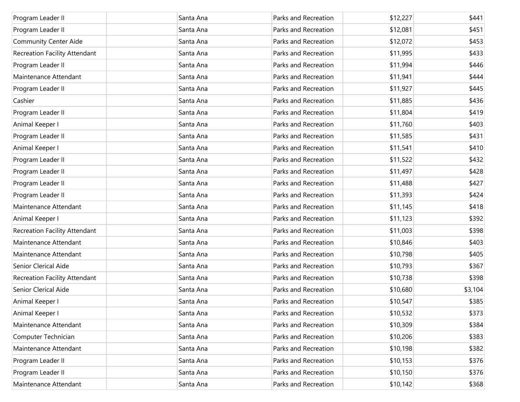| Program Leader II                    | Santa Ana | Parks and Recreation | \$12,227 | \$441   |
|--------------------------------------|-----------|----------------------|----------|---------|
| Program Leader II                    | Santa Ana | Parks and Recreation | \$12,081 | \$451   |
| <b>Community Center Aide</b>         | Santa Ana | Parks and Recreation | \$12,072 | \$453   |
| Recreation Facility Attendant        | Santa Ana | Parks and Recreation | \$11,995 | \$433   |
| Program Leader II                    | Santa Ana | Parks and Recreation | \$11,994 | \$446   |
| Maintenance Attendant                | Santa Ana | Parks and Recreation | \$11,941 | \$444   |
| Program Leader II                    | Santa Ana | Parks and Recreation | \$11,927 | \$445   |
| Cashier                              | Santa Ana | Parks and Recreation | \$11,885 | \$436   |
| Program Leader II                    | Santa Ana | Parks and Recreation | \$11,804 | \$419   |
| Animal Keeper I                      | Santa Ana | Parks and Recreation | \$11,760 | \$403   |
| Program Leader II                    | Santa Ana | Parks and Recreation | \$11,585 | \$431   |
| Animal Keeper I                      | Santa Ana | Parks and Recreation | \$11,541 | \$410   |
| Program Leader II                    | Santa Ana | Parks and Recreation | \$11,522 | \$432   |
| Program Leader II                    | Santa Ana | Parks and Recreation | \$11,497 | \$428   |
| Program Leader II                    | Santa Ana | Parks and Recreation | \$11,488 | \$427   |
| Program Leader II                    | Santa Ana | Parks and Recreation | \$11,393 | \$424   |
| Maintenance Attendant                | Santa Ana | Parks and Recreation | \$11,145 | \$418   |
| Animal Keeper I                      | Santa Ana | Parks and Recreation | \$11,123 | \$392   |
| <b>Recreation Facility Attendant</b> | Santa Ana | Parks and Recreation | \$11,003 | \$398   |
| Maintenance Attendant                | Santa Ana | Parks and Recreation | \$10,846 | \$403   |
| Maintenance Attendant                | Santa Ana | Parks and Recreation | \$10,798 | \$405   |
| Senior Clerical Aide                 | Santa Ana | Parks and Recreation | \$10,793 | \$367   |
| <b>Recreation Facility Attendant</b> | Santa Ana | Parks and Recreation | \$10,738 | \$398   |
| Senior Clerical Aide                 | Santa Ana | Parks and Recreation | \$10,680 | \$3,104 |
| Animal Keeper I                      | Santa Ana | Parks and Recreation | \$10,547 | \$385   |
| Animal Keeper I                      | Santa Ana | Parks and Recreation | \$10,532 | \$373   |
| Maintenance Attendant                | Santa Ana | Parks and Recreation | \$10,309 | \$384   |
| Computer Technician                  | Santa Ana | Parks and Recreation | \$10,206 | \$383   |
| Maintenance Attendant                | Santa Ana | Parks and Recreation | \$10,198 | \$382   |
| Program Leader II                    | Santa Ana | Parks and Recreation | \$10,153 | \$376   |
| Program Leader II                    | Santa Ana | Parks and Recreation | \$10,150 | \$376   |
| Maintenance Attendant                | Santa Ana | Parks and Recreation | \$10,142 | \$368   |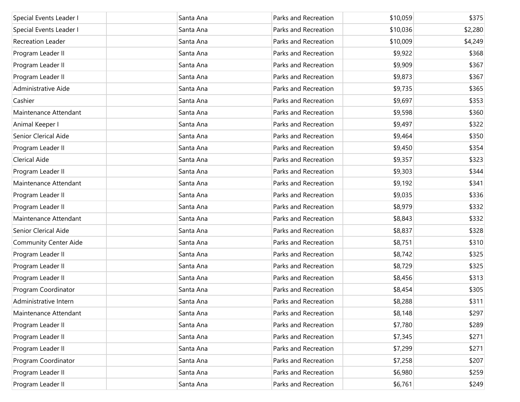| Special Events Leader I      | Santa Ana | Parks and Recreation | \$10,059 | \$375   |
|------------------------------|-----------|----------------------|----------|---------|
| Special Events Leader I      | Santa Ana | Parks and Recreation | \$10,036 | \$2,280 |
| <b>Recreation Leader</b>     | Santa Ana | Parks and Recreation | \$10,009 | \$4,249 |
| Program Leader II            | Santa Ana | Parks and Recreation | \$9,922  | \$368   |
| Program Leader II            | Santa Ana | Parks and Recreation | \$9,909  | \$367   |
| Program Leader II            | Santa Ana | Parks and Recreation | \$9,873  | \$367   |
| Administrative Aide          | Santa Ana | Parks and Recreation | \$9,735  | \$365   |
| Cashier                      | Santa Ana | Parks and Recreation | \$9,697  | \$353   |
| Maintenance Attendant        | Santa Ana | Parks and Recreation | \$9,598  | \$360   |
| Animal Keeper I              | Santa Ana | Parks and Recreation | \$9,497  | \$322   |
| Senior Clerical Aide         | Santa Ana | Parks and Recreation | \$9,464  | \$350   |
| Program Leader II            | Santa Ana | Parks and Recreation | \$9,450  | \$354   |
| <b>Clerical Aide</b>         | Santa Ana | Parks and Recreation | \$9,357  | \$323   |
| Program Leader II            | Santa Ana | Parks and Recreation | \$9,303  | \$344   |
| Maintenance Attendant        | Santa Ana | Parks and Recreation | \$9,192  | \$341   |
| Program Leader II            | Santa Ana | Parks and Recreation | \$9,035  | \$336   |
| Program Leader II            | Santa Ana | Parks and Recreation | \$8,979  | \$332   |
| Maintenance Attendant        | Santa Ana | Parks and Recreation | \$8,843  | \$332   |
| Senior Clerical Aide         | Santa Ana | Parks and Recreation | \$8,837  | \$328   |
| <b>Community Center Aide</b> | Santa Ana | Parks and Recreation | \$8,751  | \$310   |
| Program Leader II            | Santa Ana | Parks and Recreation | \$8,742  | \$325   |
| Program Leader II            | Santa Ana | Parks and Recreation | \$8,729  | \$325   |
| Program Leader II            | Santa Ana | Parks and Recreation | \$8,456  | \$313   |
| Program Coordinator          | Santa Ana | Parks and Recreation | \$8,454  | \$305   |
| Administrative Intern        | Santa Ana | Parks and Recreation | \$8,288  | \$311   |
| Maintenance Attendant        | Santa Ana | Parks and Recreation | \$8,148  | \$297   |
| Program Leader II            | Santa Ana | Parks and Recreation | \$7,780  | \$289   |
| Program Leader II            | Santa Ana | Parks and Recreation | \$7,345  | \$271   |
| Program Leader II            | Santa Ana | Parks and Recreation | \$7,299  | \$271   |
| Program Coordinator          | Santa Ana | Parks and Recreation | \$7,258  | \$207   |
| Program Leader II            | Santa Ana | Parks and Recreation | \$6,980  | \$259   |
| Program Leader II            | Santa Ana | Parks and Recreation | \$6,761  | \$249   |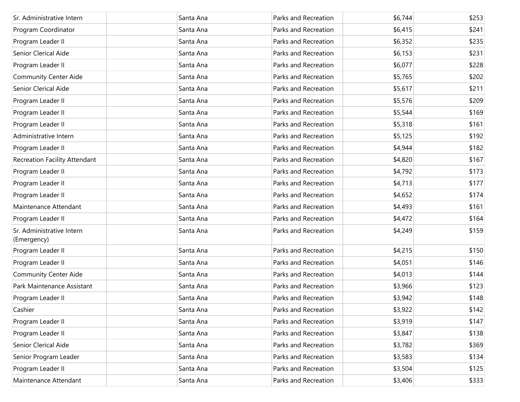| Sr. Administrative Intern                | Santa Ana | Parks and Recreation | \$6,744 | \$253 |
|------------------------------------------|-----------|----------------------|---------|-------|
| Program Coordinator                      | Santa Ana | Parks and Recreation | \$6,415 | \$241 |
| Program Leader II                        | Santa Ana | Parks and Recreation | \$6,352 | \$235 |
| Senior Clerical Aide                     | Santa Ana | Parks and Recreation | \$6,153 | \$231 |
| Program Leader II                        | Santa Ana | Parks and Recreation | \$6,077 | \$228 |
| <b>Community Center Aide</b>             | Santa Ana | Parks and Recreation | \$5,765 | \$202 |
| Senior Clerical Aide                     | Santa Ana | Parks and Recreation | \$5,617 | \$211 |
| Program Leader II                        | Santa Ana | Parks and Recreation | \$5,576 | \$209 |
| Program Leader II                        | Santa Ana | Parks and Recreation | \$5,544 | \$169 |
| Program Leader II                        | Santa Ana | Parks and Recreation | \$5,318 | \$161 |
| Administrative Intern                    | Santa Ana | Parks and Recreation | \$5,125 | \$192 |
| Program Leader II                        | Santa Ana | Parks and Recreation | \$4,944 | \$182 |
| Recreation Facility Attendant            | Santa Ana | Parks and Recreation | \$4,820 | \$167 |
| Program Leader II                        | Santa Ana | Parks and Recreation | \$4,792 | \$173 |
| Program Leader II                        | Santa Ana | Parks and Recreation | \$4,713 | \$177 |
| Program Leader II                        | Santa Ana | Parks and Recreation | \$4,652 | \$174 |
| Maintenance Attendant                    | Santa Ana | Parks and Recreation | \$4,493 | \$161 |
| Program Leader II                        | Santa Ana | Parks and Recreation | \$4,472 | \$164 |
| Sr. Administrative Intern<br>(Emergency) | Santa Ana | Parks and Recreation | \$4,249 | \$159 |
| Program Leader II                        | Santa Ana | Parks and Recreation | \$4,215 | \$150 |
| Program Leader II                        | Santa Ana | Parks and Recreation | \$4,051 | \$146 |
| <b>Community Center Aide</b>             | Santa Ana | Parks and Recreation | \$4,013 | \$144 |
| Park Maintenance Assistant               | Santa Ana | Parks and Recreation | \$3,966 | \$123 |
| Program Leader II                        | Santa Ana | Parks and Recreation | \$3,942 | \$148 |
| Cashier                                  | Santa Ana | Parks and Recreation | \$3,922 | \$142 |
| Program Leader II                        | Santa Ana | Parks and Recreation | \$3,919 | \$147 |
| Program Leader II                        | Santa Ana | Parks and Recreation | \$3,847 | \$138 |
| Senior Clerical Aide                     | Santa Ana | Parks and Recreation | \$3,782 | \$369 |
| Senior Program Leader                    | Santa Ana | Parks and Recreation | \$3,583 | \$134 |
| Program Leader II                        | Santa Ana | Parks and Recreation | \$3,504 | \$125 |
| Maintenance Attendant                    | Santa Ana | Parks and Recreation | \$3,406 | \$333 |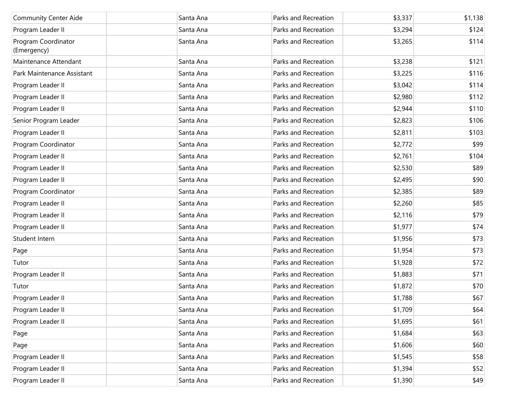| <b>Community Center Aide</b>       | Santa Ana | Parks and Recreation | \$3,337 | \$1,138 |
|------------------------------------|-----------|----------------------|---------|---------|
| Program Leader II                  | Santa Ana | Parks and Recreation | \$3,294 | \$124   |
| Program Coordinator<br>(Emergency) | Santa Ana | Parks and Recreation | \$3,265 | \$114   |
| Maintenance Attendant              | Santa Ana | Parks and Recreation | \$3,238 | \$121   |
| Park Maintenance Assistant         | Santa Ana | Parks and Recreation | \$3,225 | \$116   |
| Program Leader II                  | Santa Ana | Parks and Recreation | \$3,042 | \$114   |
| Program Leader II                  | Santa Ana | Parks and Recreation | \$2,980 | \$112   |
| Program Leader II                  | Santa Ana | Parks and Recreation | \$2,944 | \$110   |
| Senior Program Leader              | Santa Ana | Parks and Recreation | \$2,823 | \$106   |
| Program Leader II                  | Santa Ana | Parks and Recreation | \$2,811 | \$103   |
| Program Coordinator                | Santa Ana | Parks and Recreation | \$2,772 | \$99    |
| Program Leader II                  | Santa Ana | Parks and Recreation | \$2,761 | \$104   |
| Program Leader II                  | Santa Ana | Parks and Recreation | \$2,530 | \$89    |
| Program Leader II                  | Santa Ana | Parks and Recreation | \$2,495 | \$90    |
| Program Coordinator                | Santa Ana | Parks and Recreation | \$2,385 | \$89    |
| Program Leader II                  | Santa Ana | Parks and Recreation | \$2,260 | \$85    |
| Program Leader II                  | Santa Ana | Parks and Recreation | \$2,116 | \$79    |
| Program Leader II                  | Santa Ana | Parks and Recreation | \$1,977 | \$74    |
| Student Intern                     | Santa Ana | Parks and Recreation | \$1,956 | \$73    |
| Page                               | Santa Ana | Parks and Recreation | \$1,954 | \$73    |
| Tutor                              | Santa Ana | Parks and Recreation | \$1,928 | \$72    |
| Program Leader II                  | Santa Ana | Parks and Recreation | \$1,883 | \$71    |
| Tutor                              | Santa Ana | Parks and Recreation | \$1,872 | \$70    |
| Program Leader II                  | Santa Ana | Parks and Recreation | \$1,788 | \$67    |
| Program Leader II                  | Santa Ana | Parks and Recreation | \$1,709 | \$64    |
| Program Leader II                  | Santa Ana | Parks and Recreation | \$1,695 | \$61    |
| Page                               | Santa Ana | Parks and Recreation | \$1,684 | \$63    |
| Page                               | Santa Ana | Parks and Recreation | \$1,606 | \$60    |
| Program Leader II                  | Santa Ana | Parks and Recreation | \$1,545 | \$58    |
| Program Leader II                  | Santa Ana | Parks and Recreation | \$1,394 | \$52    |
| Program Leader II                  | Santa Ana | Parks and Recreation | \$1,390 | \$49    |